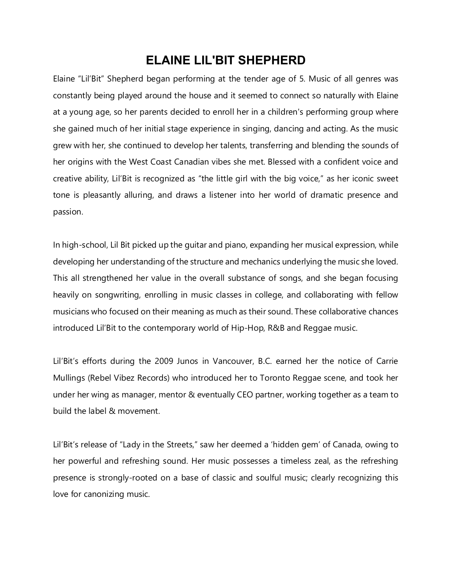## **ELAINE LIL'BIT SHEPHERD**

Elaine "Lil'Bit" Shepherd began performing at the tender age of 5. Music of all genres was constantly being played around the house and it seemed to connect so naturally with Elaine at a young age, so her parents decided to enroll her in a children's performing group where she gained much of her initial stage experience in singing, dancing and acting. As the music grew with her, she continued to develop her talents, transferring and blending the sounds of her origins with the West Coast Canadian vibes she met. Blessed with a confident voice and creative ability, Lil'Bit is recognized as "the little girl with the big voice," as her iconic sweet tone is pleasantly alluring, and draws a listener into her world of dramatic presence and passion.

In high-school, Lil Bit picked up the guitar and piano, expanding her musical expression, while developing her understanding of the structure and mechanics underlying the music she loved. This all strengthened her value in the overall substance of songs, and she began focusing heavily on songwriting, enrolling in music classes in college, and collaborating with fellow musicians who focused on their meaning as much as their sound. These collaborative chances introduced Lil'Bit to the contemporary world of Hip-Hop, R&B and Reggae music.

Lil'Bit's efforts during the 2009 Junos in Vancouver, B.C. earned her the notice of Carrie Mullings (Rebel Vibez Records) who introduced her to Toronto Reggae scene, and took her under her wing as manager, mentor & eventually CEO partner, working together as a team to build the label & movement.

Lil'Bit's release of "Lady in the Streets," saw her deemed a 'hidden gem' of Canada, owing to her powerful and refreshing sound. Her music possesses a timeless zeal, as the refreshing presence is strongly-rooted on a base of classic and soulful music; clearly recognizing this love for canonizing music.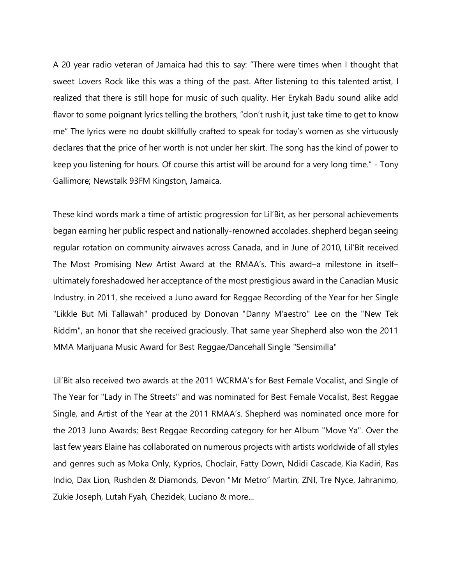A 20 year radio veteran of Jamaica had this to say: "There were times when I thought that sweet Lovers Rock like this was a thing of the past. After listening to this talented artist, I realized that there is still hope for music of such quality. Her Erykah Badu sound alike add flavor to some poignant lyrics telling the brothers, "don't rush it, just take time to get to know me" The lyrics were no doubt skillfully crafted to speak for today's women as she virtuously declares that the price of her worth is not under her skirt. The song has the kind of power to keep you listening for hours. Of course this artist will be around for a very long time." - Tony Gallimore; Newstalk 93FM Kingston, Jamaica.

These kind words mark a time of artistic progression for Lil'Bit, as her personal achievements began earning her public respect and nationally-renowned accolades. shepherd began seeing regular rotation on community airwaves across Canada, and in June of 2010, Lil'Bit received The Most Promising New Artist Award at the RMAA's. This award–a milestone in itself– ultimately foreshadowed her acceptance of the most prestigious award in the Canadian Music Industry. in 2011, she received a Juno award for Reggae Recording of the Year for her Single "Likkle But Mi Tallawah" produced by Donovan "Danny M'aestro" Lee on the "New Tek Riddm", an honor that she received graciously. That same year Shepherd also won the 2011 MMA Marijuana Music Award for Best Reggae/Dancehall Single "Sensimilla"

Lil'Bit also received two awards at the 2011 WCRMA's for Best Female Vocalist, and Single of The Year for "Lady in The Streets" and was nominated for Best Female Vocalist, Best Reggae Single, and Artist of the Year at the 2011 RMAA's. Shepherd was nominated once more for the 2013 Juno Awards; Best Reggae Recording category for her Album "Move Ya". Over the last few years Elaine has collaborated on numerous projects with artists worldwide of all styles and genres such as Moka Only, Kyprios, Choclair, Fatty Down, Ndidi Cascade, Kia Kadiri, Ras Indio, Dax Lion, Rushden & Diamonds, Devon "Mr Metro" Martin, ZNI, Tre Nyce, Jahranimo, Zukie Joseph, Lutah Fyah, Chezidek, Luciano & more...